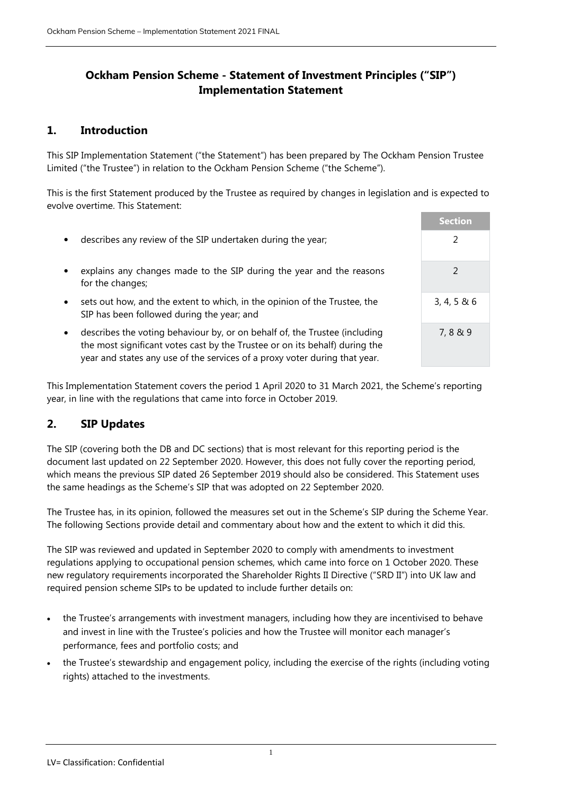## **Ockham Pension Scheme - Statement of Investment Principles ("SIP") Implementation Statement**

### **1. Introduction**

This SIP Implementation Statement ("the Statement") has been prepared by The Ockham Pension Trustee Limited ("the Trustee") in relation to the Ockham Pension Scheme ("the Scheme").

This is the first Statement produced by the Trustee as required by changes in legislation and is expected to evolve overtime. This Statement:

- describes any review of the SIP undertaken during the year; 2
- explains any changes made to the SIP during the year and the reasons for the changes;
- sets out how, and the extent to which, in the opinion of the Trustee, the SIP has been followed during the year; and
- describes the voting behaviour by, or on behalf of, the Trustee (including the most significant votes cast by the Trustee or on its behalf) during the year and states any use of the services of a proxy voter during that year.

| <b>Section</b>  |
|-----------------|
| 2               |
| $\mathcal{P}$   |
| 3, 4, 5 & 8 & 6 |
| 7,8 & 9         |

This Implementation Statement covers the period 1 April 2020 to 31 March 2021, the Scheme's reporting year, in line with the regulations that came into force in October 2019.

### **2. SIP Updates**

The SIP (covering both the DB and DC sections) that is most relevant for this reporting period is the document last updated on 22 September 2020. However, this does not fully cover the reporting period, which means the previous SIP dated 26 September 2019 should also be considered. This Statement uses the same headings as the Scheme's SIP that was adopted on 22 September 2020.

The Trustee has, in its opinion, followed the measures set out in the Scheme's SIP during the Scheme Year. The following Sections provide detail and commentary about how and the extent to which it did this.

The SIP was reviewed and updated in September 2020 to comply with amendments to investment regulations applying to occupational pension schemes, which came into force on 1 October 2020. These new regulatory requirements incorporated the Shareholder Rights II Directive ("SRD II") into UK law and required pension scheme SIPs to be updated to include further details on:

- the Trustee's arrangements with investment managers, including how they are incentivised to behave and invest in line with the Trustee's policies and how the Trustee will monitor each manager's performance, fees and portfolio costs; and
- the Trustee's stewardship and engagement policy, including the exercise of the rights (including voting rights) attached to the investments.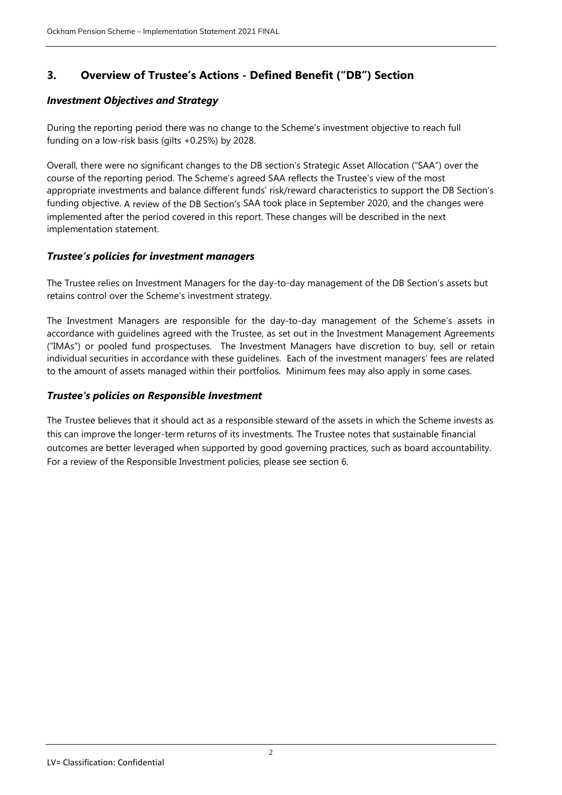# **3. Overview of Trustee's Actions - Defined Benefit ("DB") Section**

#### *Investment Objectives and Strategy*

During the reporting period there was no change to the Scheme's investment objective to reach full funding on a low-risk basis (gilts +0.25%) by 2028.

Overall, there were no significant changes to the DB section's Strategic Asset Allocation ("SAA") over the course of the reporting period. The Scheme's agreed SAA reflects the Trustee's view of the most appropriate investments and balance different funds' risk/reward characteristics to support the DB Section's funding objective. A review of the DB Section's SAA took place in September 2020, and the changes were implemented after the period covered in this report. These changes will be described in the next implementation statement.

#### *Trustee's policies for investment managers*

The Trustee relies on Investment Managers for the day-to-day management of the DB Section's assets but retains control over the Scheme's investment strategy.

The Investment Managers are responsible for the day-to-day management of the Scheme's assets in accordance with guidelines agreed with the Trustee, as set out in the Investment Management Agreements ("IMAs") or pooled fund prospectuses. The Investment Managers have discretion to buy, sell or retain individual securities in accordance with these guidelines. Each of the investment managers' fees are related to the amount of assets managed within their portfolios. Minimum fees may also apply in some cases.

#### *Trustee's policies on Responsible Investment*

The Trustee believes that it should act as a responsible steward of the assets in which the Scheme invests as this can improve the longer-term returns of its investments. The Trustee notes that sustainable financial outcomes are better leveraged when supported by good governing practices, such as board accountability. For a review of the Responsible Investment policies, please see section 6.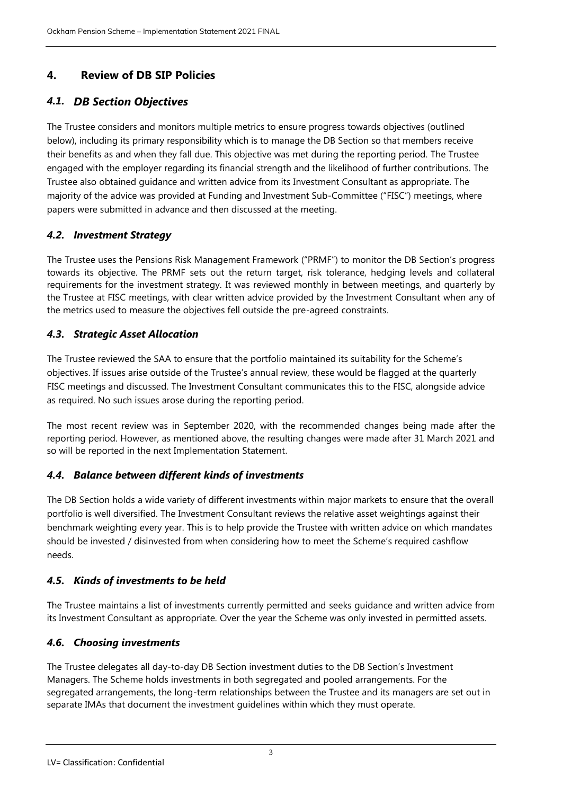# **4. Review of DB SIP Policies**

# *4.1. DB Section Objectives*

The Trustee considers and monitors multiple metrics to ensure progress towards objectives (outlined below), including its primary responsibility which is to manage the DB Section so that members receive their benefits as and when they fall due. This objective was met during the reporting period. The Trustee engaged with the employer regarding its financial strength and the likelihood of further contributions. The Trustee also obtained guidance and written advice from its Investment Consultant as appropriate. The majority of the advice was provided at Funding and Investment Sub-Committee ("FISC") meetings, where papers were submitted in advance and then discussed at the meeting.

## *4.2. Investment Strategy*

The Trustee uses the Pensions Risk Management Framework ("PRMF") to monitor the DB Section's progress towards its objective. The PRMF sets out the return target, risk tolerance, hedging levels and collateral requirements for the investment strategy. It was reviewed monthly in between meetings, and quarterly by the Trustee at FISC meetings, with clear written advice provided by the Investment Consultant when any of the metrics used to measure the objectives fell outside the pre-agreed constraints.

## *4.3. Strategic Asset Allocation*

The Trustee reviewed the SAA to ensure that the portfolio maintained its suitability for the Scheme's objectives. If issues arise outside of the Trustee's annual review, these would be flagged at the quarterly FISC meetings and discussed. The Investment Consultant communicates this to the FISC, alongside advice as required. No such issues arose during the reporting period.

The most recent review was in September 2020, with the recommended changes being made after the reporting period. However, as mentioned above, the resulting changes were made after 31 March 2021 and so will be reported in the next Implementation Statement.

### *4.4. Balance between different kinds of investments*

The DB Section holds a wide variety of different investments within major markets to ensure that the overall portfolio is well diversified. The Investment Consultant reviews the relative asset weightings against their benchmark weighting every year. This is to help provide the Trustee with written advice on which mandates should be invested / disinvested from when considering how to meet the Scheme's required cashflow needs.

## *4.5. Kinds of investments to be held*

The Trustee maintains a list of investments currently permitted and seeks guidance and written advice from its Investment Consultant as appropriate. Over the year the Scheme was only invested in permitted assets.

### *4.6. Choosing investments*

The Trustee delegates all day-to-day DB Section investment duties to the DB Section's Investment Managers. The Scheme holds investments in both segregated and pooled arrangements. For the segregated arrangements, the long-term relationships between the Trustee and its managers are set out in separate IMAs that document the investment guidelines within which they must operate.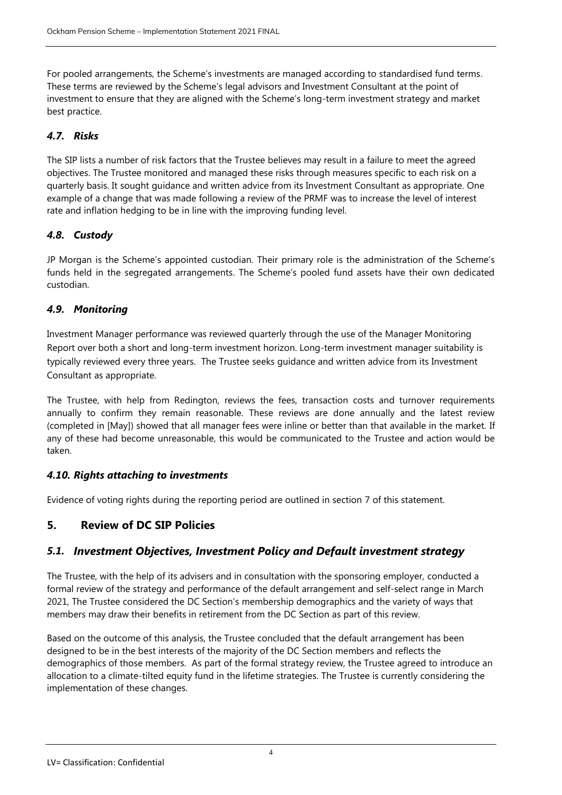For pooled arrangements, the Scheme's investments are managed according to standardised fund terms. These terms are reviewed by the Scheme's legal advisors and Investment Consultant at the point of investment to ensure that they are aligned with the Scheme's long-term investment strategy and market best practice.

## *4.7. Risks*

The SIP lists a number of risk factors that the Trustee believes may result in a failure to meet the agreed objectives. The Trustee monitored and managed these risks through measures specific to each risk on a quarterly basis. It sought guidance and written advice from its Investment Consultant as appropriate. One example of a change that was made following a review of the PRMF was to increase the level of interest rate and inflation hedging to be in line with the improving funding level.

## *4.8. Custody*

JP Morgan is the Scheme's appointed custodian. Their primary role is the administration of the Scheme's funds held in the segregated arrangements. The Scheme's pooled fund assets have their own dedicated custodian.

## *4.9. Monitoring*

Investment Manager performance was reviewed quarterly through the use of the Manager Monitoring Report over both a short and long-term investment horizon. Long-term investment manager suitability is typically reviewed every three years. The Trustee seeks guidance and written advice from its Investment Consultant as appropriate.

The Trustee, with help from Redington, reviews the fees, transaction costs and turnover requirements annually to confirm they remain reasonable. These reviews are done annually and the latest review (completed in [May]) showed that all manager fees were inline or better than that available in the market. If any of these had become unreasonable, this would be communicated to the Trustee and action would be taken.

### *4.10. Rights attaching to investments*

Evidence of voting rights during the reporting period are outlined in section 7 of this statement.

## **5. Review of DC SIP Policies**

## *5.1. Investment Objectives, Investment Policy and Default investment strategy*

The Trustee, with the help of its advisers and in consultation with the sponsoring employer, conducted a formal review of the strategy and performance of the default arrangement and self-select range in March 2021, The Trustee considered the DC Section's membership demographics and the variety of ways that members may draw their benefits in retirement from the DC Section as part of this review.

Based on the outcome of this analysis, the Trustee concluded that the default arrangement has been designed to be in the best interests of the majority of the DC Section members and reflects the demographics of those members. As part of the formal strategy review, the Trustee agreed to introduce an allocation to a climate-tilted equity fund in the lifetime strategies. The Trustee is currently considering the implementation of these changes.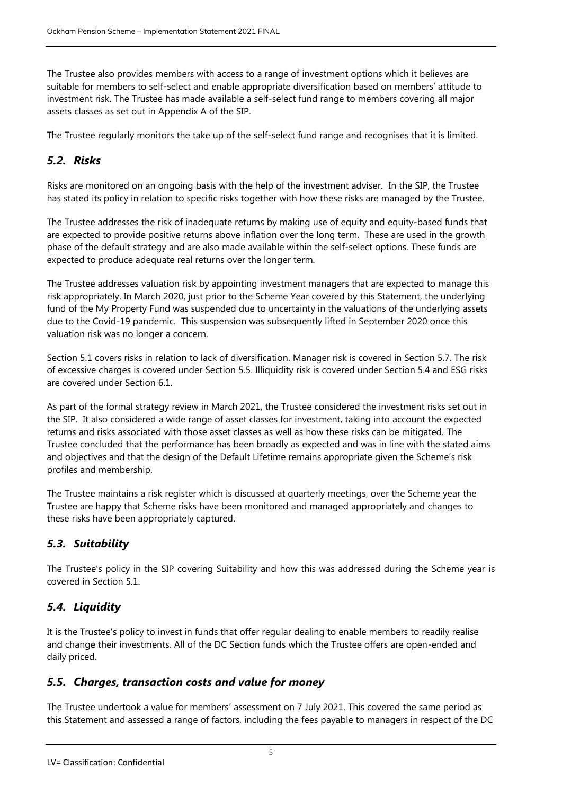The Trustee also provides members with access to a range of investment options which it believes are suitable for members to self-select and enable appropriate diversification based on members' attitude to investment risk. The Trustee has made available a self-select fund range to members covering all major assets classes as set out in Appendix A of the SIP.

The Trustee regularly monitors the take up of the self-select fund range and recognises that it is limited.

# *5.2. Risks*

Risks are monitored on an ongoing basis with the help of the investment adviser. In the SIP, the Trustee has stated its policy in relation to specific risks together with how these risks are managed by the Trustee.

The Trustee addresses the risk of inadequate returns by making use of equity and equity-based funds that are expected to provide positive returns above inflation over the long term. These are used in the growth phase of the default strategy and are also made available within the self-select options. These funds are expected to produce adequate real returns over the longer term.

The Trustee addresses valuation risk by appointing investment managers that are expected to manage this risk appropriately. In March 2020, just prior to the Scheme Year covered by this Statement, the underlying fund of the My Property Fund was suspended due to uncertainty in the valuations of the underlying assets due to the Covid-19 pandemic. This suspension was subsequently lifted in September 2020 once this valuation risk was no longer a concern.

Section 5.1 covers risks in relation to lack of diversification. Manager risk is covered in Section 5.7. The risk of excessive charges is covered under Section 5.5. Illiquidity risk is covered under Section 5.4 and ESG risks are covered under Section 6.1.

As part of the formal strategy review in March 2021, the Trustee considered the investment risks set out in the SIP. It also considered a wide range of asset classes for investment, taking into account the expected returns and risks associated with those asset classes as well as how these risks can be mitigated. The Trustee concluded that the performance has been broadly as expected and was in line with the stated aims and objectives and that the design of the Default Lifetime remains appropriate given the Scheme's risk profiles and membership.

The Trustee maintains a risk register which is discussed at quarterly meetings, over the Scheme year the Trustee are happy that Scheme risks have been monitored and managed appropriately and changes to these risks have been appropriately captured.

# *5.3. Suitability*

The Trustee's policy in the SIP covering Suitability and how this was addressed during the Scheme year is covered in Section 5.1.

# *5.4. Liquidity*

It is the Trustee's policy to invest in funds that offer regular dealing to enable members to readily realise and change their investments. All of the DC Section funds which the Trustee offers are open-ended and daily priced.

# *5.5. Charges, transaction costs and value for money*

The Trustee undertook a value for members' assessment on 7 July 2021. This covered the same period as this Statement and assessed a range of factors, including the fees payable to managers in respect of the DC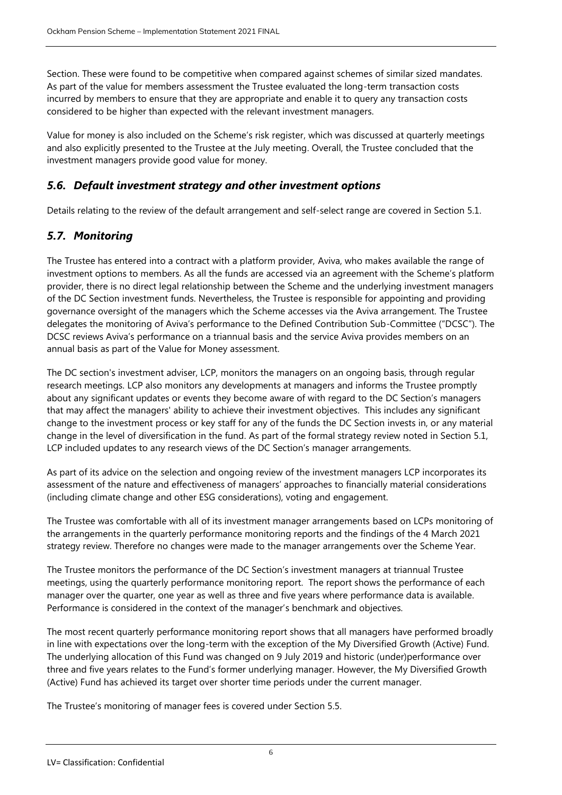Section. These were found to be competitive when compared against schemes of similar sized mandates. As part of the value for members assessment the Trustee evaluated the long-term transaction costs incurred by members to ensure that they are appropriate and enable it to query any transaction costs considered to be higher than expected with the relevant investment managers.

Value for money is also included on the Scheme's risk register, which was discussed at quarterly meetings and also explicitly presented to the Trustee at the July meeting. Overall, the Trustee concluded that the investment managers provide good value for money.

## *5.6. Default investment strategy and other investment options*

Details relating to the review of the default arrangement and self-select range are covered in Section 5.1.

# *5.7. Monitoring*

The Trustee has entered into a contract with a platform provider, Aviva, who makes available the range of investment options to members. As all the funds are accessed via an agreement with the Scheme's platform provider, there is no direct legal relationship between the Scheme and the underlying investment managers of the DC Section investment funds. Nevertheless, the Trustee is responsible for appointing and providing governance oversight of the managers which the Scheme accesses via the Aviva arrangement. The Trustee delegates the monitoring of Aviva's performance to the Defined Contribution Sub-Committee ("DCSC"). The DCSC reviews Aviva's performance on a triannual basis and the service Aviva provides members on an annual basis as part of the Value for Money assessment.

The DC section's investment adviser, LCP, monitors the managers on an ongoing basis, through regular research meetings. LCP also monitors any developments at managers and informs the Trustee promptly about any significant updates or events they become aware of with regard to the DC Section's managers that may affect the managers' ability to achieve their investment objectives. This includes any significant change to the investment process or key staff for any of the funds the DC Section invests in, or any material change in the level of diversification in the fund. As part of the formal strategy review noted in Section 5.1, LCP included updates to any research views of the DC Section's manager arrangements.

As part of its advice on the selection and ongoing review of the investment managers LCP incorporates its assessment of the nature and effectiveness of managers' approaches to financially material considerations (including climate change and other ESG considerations), voting and engagement.

The Trustee was comfortable with all of its investment manager arrangements based on LCPs monitoring of the arrangements in the quarterly performance monitoring reports and the findings of the 4 March 2021 strategy review. Therefore no changes were made to the manager arrangements over the Scheme Year.

The Trustee monitors the performance of the DC Section's investment managers at triannual Trustee meetings, using the quarterly performance monitoring report. The report shows the performance of each manager over the quarter, one year as well as three and five years where performance data is available. Performance is considered in the context of the manager's benchmark and objectives.

The most recent quarterly performance monitoring report shows that all managers have performed broadly in line with expectations over the long-term with the exception of the My Diversified Growth (Active) Fund. The underlying allocation of this Fund was changed on 9 July 2019 and historic (under)performance over three and five years relates to the Fund's former underlying manager. However, the My Diversified Growth (Active) Fund has achieved its target over shorter time periods under the current manager.

The Trustee's monitoring of manager fees is covered under Section 5.5.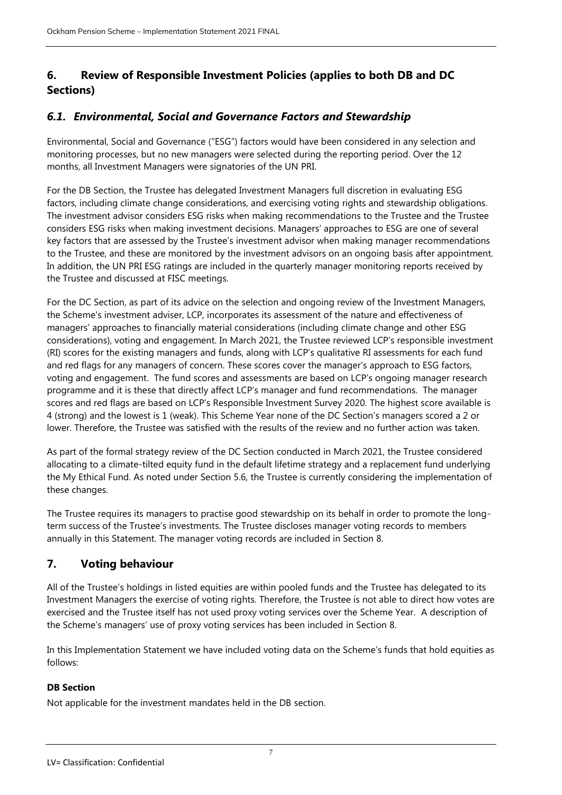# **6. Review of Responsible Investment Policies (applies to both DB and DC Sections)**

# *6.1. Environmental, Social and Governance Factors and Stewardship*

Environmental, Social and Governance ("ESG") factors would have been considered in any selection and monitoring processes, but no new managers were selected during the reporting period. Over the 12 months, all Investment Managers were signatories of the UN PRI.

For the DB Section, the Trustee has delegated Investment Managers full discretion in evaluating ESG factors, including climate change considerations, and exercising voting rights and stewardship obligations. The investment advisor considers ESG risks when making recommendations to the Trustee and the Trustee considers ESG risks when making investment decisions. Managers' approaches to ESG are one of several key factors that are assessed by the Trustee's investment advisor when making manager recommendations to the Trustee, and these are monitored by the investment advisors on an ongoing basis after appointment. In addition, the UN PRI ESG ratings are included in the quarterly manager monitoring reports received by the Trustee and discussed at FISC meetings.

For the DC Section, as part of its advice on the selection and ongoing review of the Investment Managers, the Scheme's investment adviser, LCP, incorporates its assessment of the nature and effectiveness of managers' approaches to financially material considerations (including climate change and other ESG considerations), voting and engagement. In March 2021, the Trustee reviewed LCP's responsible investment (RI) scores for the existing managers and funds, along with LCP's qualitative RI assessments for each fund and red flags for any managers of concern. These scores cover the manager's approach to ESG factors, voting and engagement. The fund scores and assessments are based on LCP's ongoing manager research programme and it is these that directly affect LCP's manager and fund recommendations. The manager scores and red flags are based on LCP's Responsible Investment Survey 2020. The highest score available is 4 (strong) and the lowest is 1 (weak). This Scheme Year none of the DC Section's managers scored a 2 or lower. Therefore, the Trustee was satisfied with the results of the review and no further action was taken.

As part of the formal strategy review of the DC Section conducted in March 2021, the Trustee considered allocating to a climate-tilted equity fund in the default lifetime strategy and a replacement fund underlying the My Ethical Fund. As noted under Section 5.6, the Trustee is currently considering the implementation of these changes.

The Trustee requires its managers to practise good stewardship on its behalf in order to promote the longterm success of the Trustee's investments. The Trustee discloses manager voting records to members annually in this Statement. The manager voting records are included in Section 8.

# **7. Voting behaviour**

All of the Trustee's holdings in listed equities are within pooled funds and the Trustee has delegated to its Investment Managers the exercise of voting rights. Therefore, the Trustee is not able to direct how votes are exercised and the Trustee itself has not used proxy voting services over the Scheme Year. A description of the Scheme's managers' use of proxy voting services has been included in Section 8.

In this Implementation Statement we have included voting data on the Scheme's funds that hold equities as follows:

### **DB Section**

Not applicable for the investment mandates held in the DB section.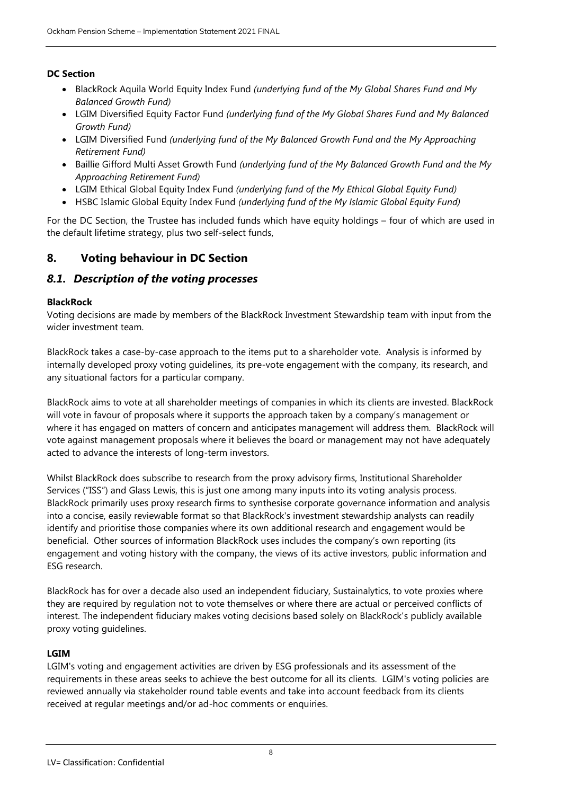### **DC Section**

- BlackRock Aquila World Equity Index Fund *(underlying fund of the My Global Shares Fund and My Balanced Growth Fund)*
- LGIM Diversified Equity Factor Fund *(underlying fund of the My Global Shares Fund and My Balanced Growth Fund)*
- LGIM Diversified Fund *(underlying fund of the My Balanced Growth Fund and the My Approaching Retirement Fund)*
- **Baillie Gifford Multi Asset Growth Fund** *(underlying fund of the My Balanced Growth Fund and the My Approaching Retirement Fund)*
- LGIM Ethical Global Equity Index Fund *(underlying fund of the My Ethical Global Equity Fund)*
- HSBC Islamic Global Equity Index Fund *(underlying fund of the My Islamic Global Equity Fund)*

For the DC Section, the Trustee has included funds which have equity holdings – four of which are used in the default lifetime strategy, plus two self-select funds,

# **8. Voting behaviour in DC Section**

### *8.1. Description of the voting processes*

#### **BlackRock**

Voting decisions are made by members of the BlackRock Investment Stewardship team with input from the wider investment team.

BlackRock takes a case-by-case approach to the items put to a shareholder vote. Analysis is informed by internally developed proxy voting guidelines, its pre-vote engagement with the company, its research, and any situational factors for a particular company.

BlackRock aims to vote at all shareholder meetings of companies in which its clients are invested. BlackRock will vote in favour of proposals where it supports the approach taken by a company's management or where it has engaged on matters of concern and anticipates management will address them. BlackRock will vote against management proposals where it believes the board or management may not have adequately acted to advance the interests of long-term investors.

Whilst BlackRock does subscribe to research from the proxy advisory firms, Institutional Shareholder Services ("ISS") and Glass Lewis, this is just one among many inputs into its voting analysis process. BlackRock primarily uses proxy research firms to synthesise corporate governance information and analysis into a concise, easily reviewable format so that BlackRock's investment stewardship analysts can readily identify and prioritise those companies where its own additional research and engagement would be beneficial. Other sources of information BlackRock uses includes the company's own reporting (its engagement and voting history with the company, the views of its active investors, public information and ESG research.

BlackRock has for over a decade also used an independent fiduciary, Sustainalytics, to vote proxies where they are required by regulation not to vote themselves or where there are actual or perceived conflicts of interest. The independent fiduciary makes voting decisions based solely on BlackRock's publicly available proxy voting guidelines.

### **LGIM**

LGIM's voting and engagement activities are driven by ESG professionals and its assessment of the requirements in these areas seeks to achieve the best outcome for all its clients. LGIM's voting policies are reviewed annually via stakeholder round table events and take into account feedback from its clients received at regular meetings and/or ad-hoc comments or enquiries.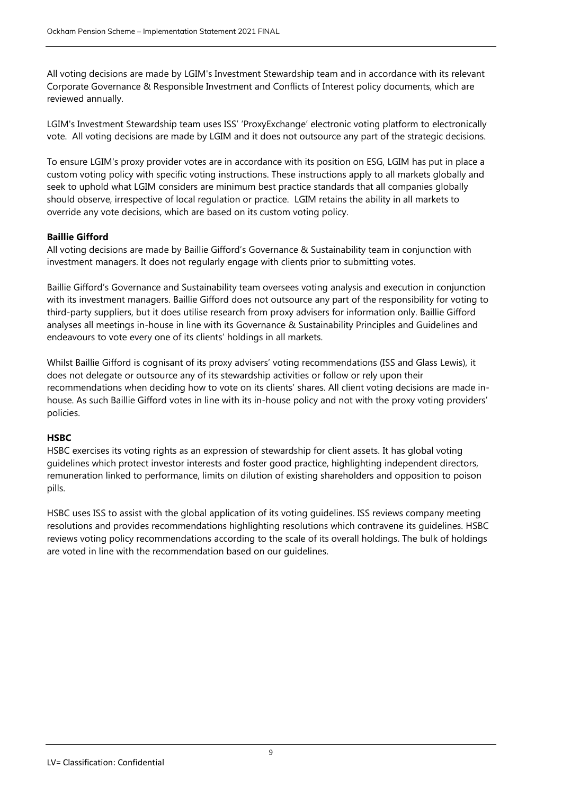All voting decisions are made by LGIM's Investment Stewardship team and in accordance with its relevant Corporate Governance & Responsible Investment and Conflicts of Interest policy documents, which are reviewed annually.

LGIM's Investment Stewardship team uses ISS' 'ProxyExchange' electronic voting platform to electronically vote. All voting decisions are made by LGIM and it does not outsource any part of the strategic decisions.

To ensure LGIM's proxy provider votes are in accordance with its position on ESG, LGIM has put in place a custom voting policy with specific voting instructions. These instructions apply to all markets globally and seek to uphold what LGIM considers are minimum best practice standards that all companies globally should observe, irrespective of local regulation or practice. LGIM retains the ability in all markets to override any vote decisions, which are based on its custom voting policy.

#### **Baillie Gifford**

All voting decisions are made by Baillie Gifford's Governance & Sustainability team in conjunction with investment managers. It does not regularly engage with clients prior to submitting votes.

Baillie Gifford's Governance and Sustainability team oversees voting analysis and execution in conjunction with its investment managers. Baillie Gifford does not outsource any part of the responsibility for voting to third-party suppliers, but it does utilise research from proxy advisers for information only. Baillie Gifford analyses all meetings in-house in line with its Governance & Sustainability Principles and Guidelines and endeavours to vote every one of its clients' holdings in all markets.

Whilst Baillie Gifford is cognisant of its proxy advisers' voting recommendations (ISS and Glass Lewis), it does not delegate or outsource any of its stewardship activities or follow or rely upon their recommendations when deciding how to vote on its clients' shares. All client voting decisions are made inhouse. As such Baillie Gifford votes in line with its in-house policy and not with the proxy voting providers' policies.

#### **HSBC**

HSBC exercises its voting rights as an expression of stewardship for client assets. It has global voting guidelines which protect investor interests and foster good practice, highlighting independent directors, remuneration linked to performance, limits on dilution of existing shareholders and opposition to poison pills.

HSBC uses ISS to assist with the global application of its voting guidelines. ISS reviews company meeting resolutions and provides recommendations highlighting resolutions which contravene its guidelines. HSBC reviews voting policy recommendations according to the scale of its overall holdings. The bulk of holdings are voted in line with the recommendation based on our guidelines.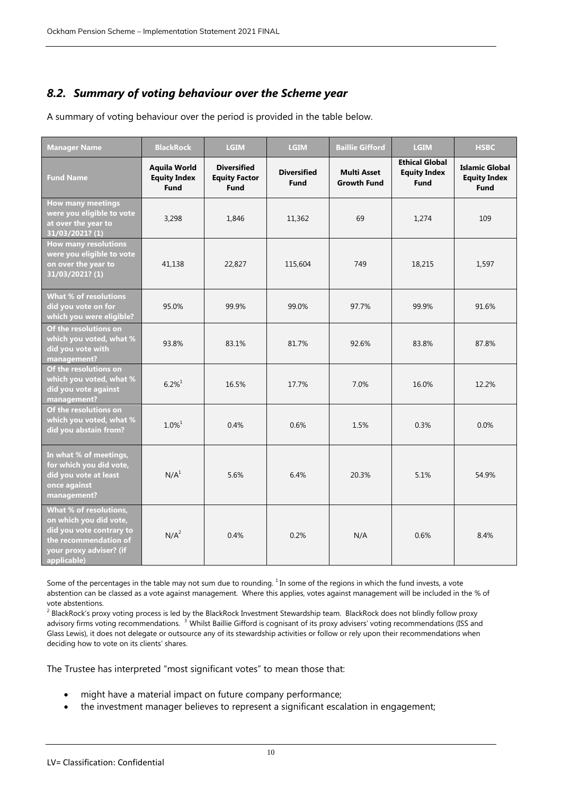# *8.2. Summary of voting behaviour over the Scheme year*

A summary of voting behaviour over the period is provided in the table below.

| <b>Manager Name</b>                                                                                                                             | <b>BlackRock</b>                                          | <b>LGIM</b>                                               | <b>LGIM</b>                       | <b>Baillie Gifford</b>                   | <b>LGIM</b>                                                 | <b>HSBC</b>                                                 |
|-------------------------------------------------------------------------------------------------------------------------------------------------|-----------------------------------------------------------|-----------------------------------------------------------|-----------------------------------|------------------------------------------|-------------------------------------------------------------|-------------------------------------------------------------|
| <b>Fund Name</b>                                                                                                                                | <b>Aquila World</b><br><b>Equity Index</b><br><b>Fund</b> | <b>Diversified</b><br><b>Equity Factor</b><br><b>Fund</b> | <b>Diversified</b><br><b>Fund</b> | <b>Multi Asset</b><br><b>Growth Fund</b> | <b>Ethical Global</b><br><b>Equity Index</b><br><b>Fund</b> | <b>Islamic Global</b><br><b>Equity Index</b><br><b>Fund</b> |
| <b>How many meetings</b><br>were you eligible to vote<br>at over the year to<br>31/03/2021? (1)                                                 | 3,298                                                     | 1,846                                                     | 11,362                            | 69                                       | 1,274                                                       | 109                                                         |
| <b>How many resolutions</b><br>were you eligible to vote<br>on over the year to<br>31/03/2021? (1)                                              | 41,138                                                    | 22,827                                                    | 115,604                           | 749                                      | 18,215                                                      | 1,597                                                       |
| What % of resolutions<br>did you vote on for<br>which you were eligible?                                                                        | 95.0%                                                     | 99.9%                                                     | 99.0%                             | 97.7%                                    | 99.9%                                                       | 91.6%                                                       |
| Of the resolutions on<br>which you voted, what %<br>did you vote with<br>management?                                                            | 93.8%                                                     | 83.1%                                                     | 81.7%                             | 92.6%                                    | 83.8%                                                       | 87.8%                                                       |
| Of the resolutions on<br>which you voted, what %<br>did you vote against<br>management?                                                         | $6.2\%$ <sup>1</sup>                                      | 16.5%                                                     | 17.7%                             | 7.0%                                     | 16.0%                                                       | 12.2%                                                       |
| Of the resolutions on<br>which you voted, what %<br>did you abstain from?                                                                       | $1.0\%$ <sup>1</sup>                                      | 0.4%                                                      | 0.6%                              | 1.5%                                     | 0.3%                                                        | 0.0%                                                        |
| In what % of meetings,<br>for which you did vote,<br>did you vote at least<br>once against<br>management?                                       | N/A <sup>1</sup>                                          | 5.6%                                                      | 6.4%                              | 20.3%                                    | 5.1%                                                        | 54.9%                                                       |
| What % of resolutions,<br>on which you did vote,<br>did you vote contrary to<br>the recommendation of<br>your proxy adviser? (if<br>applicable) | N/A <sup>2</sup>                                          | 0.4%                                                      | 0.2%                              | N/A                                      | 0.6%                                                        | 8.4%                                                        |

Some of the percentages in the table may not sum due to rounding.  $1$  In some of the regions in which the fund invests, a vote abstention can be classed as a vote against management. Where this applies, votes against management will be included in the % of vote abstentions.

<sup>2</sup> BlackRock's proxy voting process is led by the BlackRock Investment Stewardship team. BlackRock does not blindly follow proxy advisory firms voting recommendations.<sup>3</sup> Whilst Baillie Gifford is cognisant of its proxy advisers' voting recommendations (ISS and Glass Lewis), it does not delegate or outsource any of its stewardship activities or follow or rely upon their recommendations when deciding how to vote on its clients' shares.

The Trustee has interpreted "most significant votes" to mean those that:

- might have a material impact on future company performance;
- the investment manager believes to represent a significant escalation in engagement;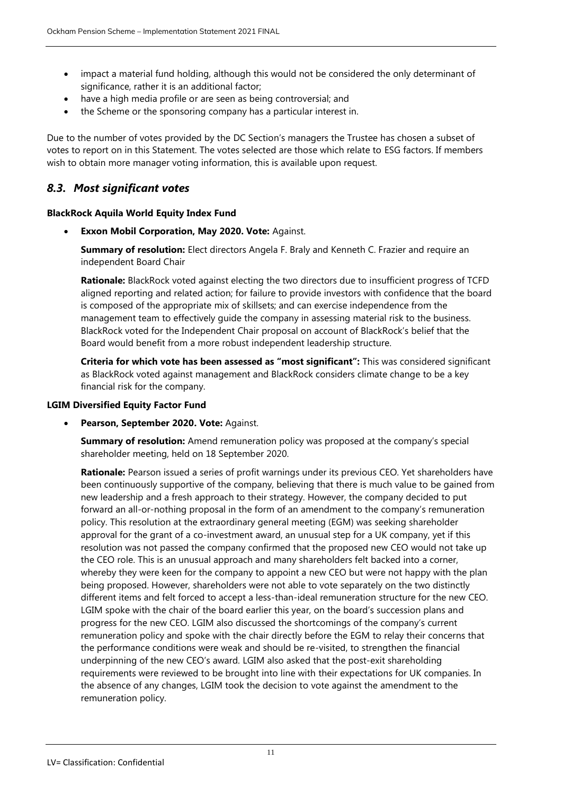- impact a material fund holding, although this would not be considered the only determinant of significance, rather it is an additional factor;
- have a high media profile or are seen as being controversial; and
- the Scheme or the sponsoring company has a particular interest in.

Due to the number of votes provided by the DC Section's managers the Trustee has chosen a subset of votes to report on in this Statement. The votes selected are those which relate to ESG factors. If members wish to obtain more manager voting information, this is available upon request.

# *8.3. Most significant votes*

#### **BlackRock Aquila World Equity Index Fund**

**Exxon Mobil Corporation, May 2020. Vote:** Against.

**Summary of resolution:** Elect directors Angela F. Braly and Kenneth C. Frazier and require an independent Board Chair

**Rationale:** BlackRock voted against electing the two directors due to insufficient progress of TCFD aligned reporting and related action; for failure to provide investors with confidence that the board is composed of the appropriate mix of skillsets; and can exercise independence from the management team to effectively guide the company in assessing material risk to the business. BlackRock voted for the Independent Chair proposal on account of BlackRock's belief that the Board would benefit from a more robust independent leadership structure.

**Criteria for which vote has been assessed as "most significant":** This was considered significant as BlackRock voted against management and BlackRock considers climate change to be a key financial risk for the company.

#### **LGIM Diversified Equity Factor Fund**

**Pearson, September 2020. Vote:** Against.

**Summary of resolution:** Amend remuneration policy was proposed at the company's special shareholder meeting, held on 18 September 2020.

**Rationale:** Pearson issued a series of profit warnings under its previous CEO. Yet shareholders have been continuously supportive of the company, believing that there is much value to be gained from new leadership and a fresh approach to their strategy. However, the company decided to put forward an all-or-nothing proposal in the form of an amendment to the company's remuneration policy. This resolution at the extraordinary general meeting (EGM) was seeking shareholder approval for the grant of a co-investment award, an unusual step for a UK company, yet if this resolution was not passed the company confirmed that the proposed new CEO would not take up the CEO role. This is an unusual approach and many shareholders felt backed into a corner, whereby they were keen for the company to appoint a new CEO but were not happy with the plan being proposed. However, shareholders were not able to vote separately on the two distinctly different items and felt forced to accept a less-than-ideal remuneration structure for the new CEO. LGIM spoke with the chair of the board earlier this year, on the board's succession plans and progress for the new CEO. LGIM also discussed the shortcomings of the company's current remuneration policy and spoke with the chair directly before the EGM to relay their concerns that the performance conditions were weak and should be re-visited, to strengthen the financial underpinning of the new CEO's award. LGIM also asked that the post-exit shareholding requirements were reviewed to be brought into line with their expectations for UK companies. In the absence of any changes, LGIM took the decision to vote against the amendment to the remuneration policy.